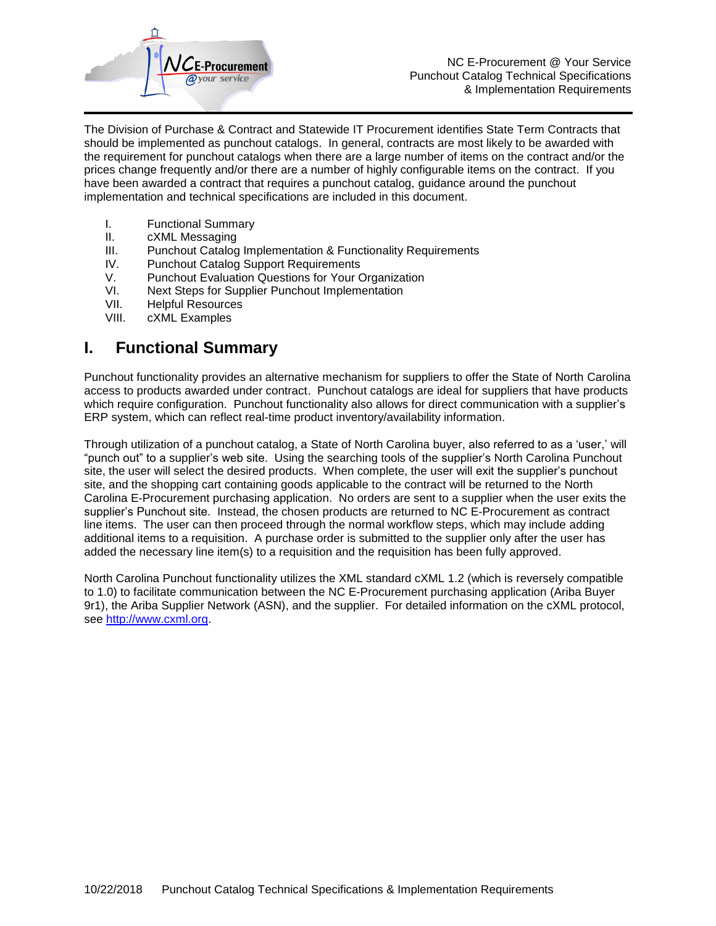

The Division of Purchase & Contract and Statewide IT Procurement identifies State Term Contracts that should be implemented as punchout catalogs. In general, contracts are most likely to be awarded with the requirement for punchout catalogs when there are a large number of items on the contract and/or the prices change frequently and/or there are a number of highly configurable items on the contract. If you have been awarded a contract that requires a punchout catalog, guidance around the punchout implementation and technical specifications are included in this document.

- I. Functional Summary
- II. cXML Messaging
- III. Punchout Catalog Implementation & Functionality Requirements
- IV. Punchout Catalog Support Requirements
- V. Punchout Evaluation Questions for Your Organization
- VI. Next Steps for Supplier Punchout Implementation
- VII. Helpful Resources
- VIII. cXML Examples

## **I. Functional Summary**

Punchout functionality provides an alternative mechanism for suppliers to offer the State of North Carolina access to products awarded under contract. Punchout catalogs are ideal for suppliers that have products which require configuration. Punchout functionality also allows for direct communication with a supplier's ERP system, which can reflect real-time product inventory/availability information.

Through utilization of a punchout catalog, a State of North Carolina buyer, also referred to as a 'user,' will "punch out" to a supplier's web site. Using the searching tools of the supplier's North Carolina Punchout site, the user will select the desired products. When complete, the user will exit the supplier's punchout site, and the shopping cart containing goods applicable to the contract will be returned to the North Carolina E-Procurement purchasing application. No orders are sent to a supplier when the user exits the supplier's Punchout site. Instead, the chosen products are returned to NC E-Procurement as contract line items. The user can then proceed through the normal workflow steps, which may include adding additional items to a requisition. A purchase order is submitted to the supplier only after the user has added the necessary line item(s) to a requisition and the requisition has been fully approved.

North Carolina Punchout functionality utilizes the XML standard cXML 1.2 (which is reversely compatible to 1.0) to facilitate communication between the NC E-Procurement purchasing application (Ariba Buyer 9r1), the Ariba Supplier Network (ASN), and the supplier. For detailed information on the cXML protocol, see [http://www.cxml.org.](http://www.cxml.org/)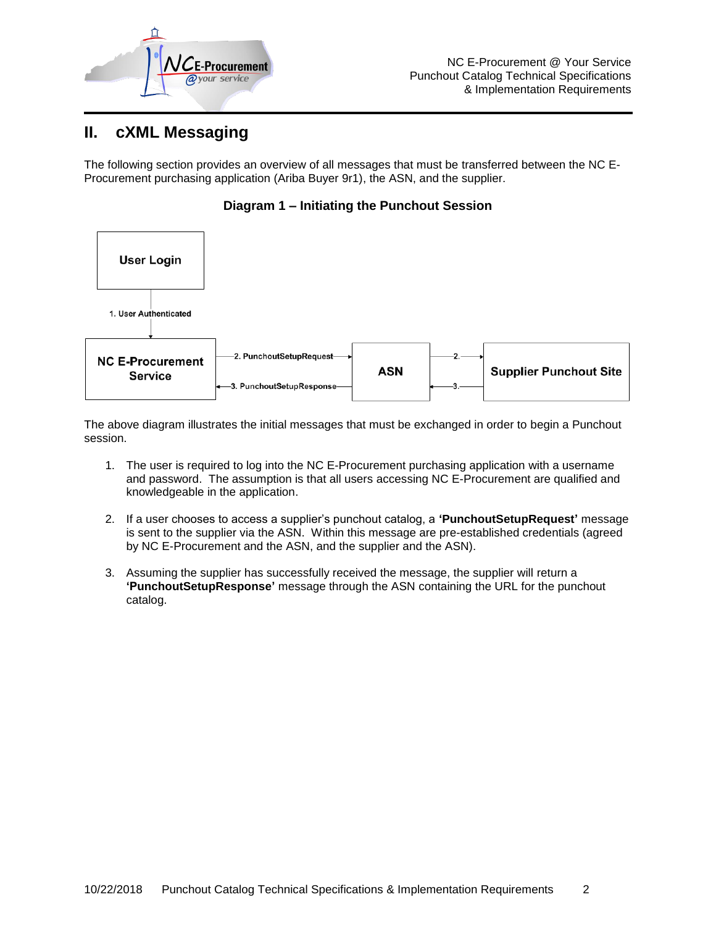

## **II. cXML Messaging**

The following section provides an overview of all messages that must be transferred between the NC E-Procurement purchasing application (Ariba Buyer 9r1), the ASN, and the supplier.



## **Diagram 1 – Initiating the Punchout Session**

The above diagram illustrates the initial messages that must be exchanged in order to begin a Punchout session.

- 1. The user is required to log into the NC E-Procurement purchasing application with a username and password. The assumption is that all users accessing NC E-Procurement are qualified and knowledgeable in the application.
- 2. If a user chooses to access a supplier's punchout catalog, a **'PunchoutSetupRequest'** message is sent to the supplier via the ASN. Within this message are pre-established credentials (agreed by NC E-Procurement and the ASN, and the supplier and the ASN).
- 3. Assuming the supplier has successfully received the message, the supplier will return a **'PunchoutSetupResponse'** message through the ASN containing the URL for the punchout catalog.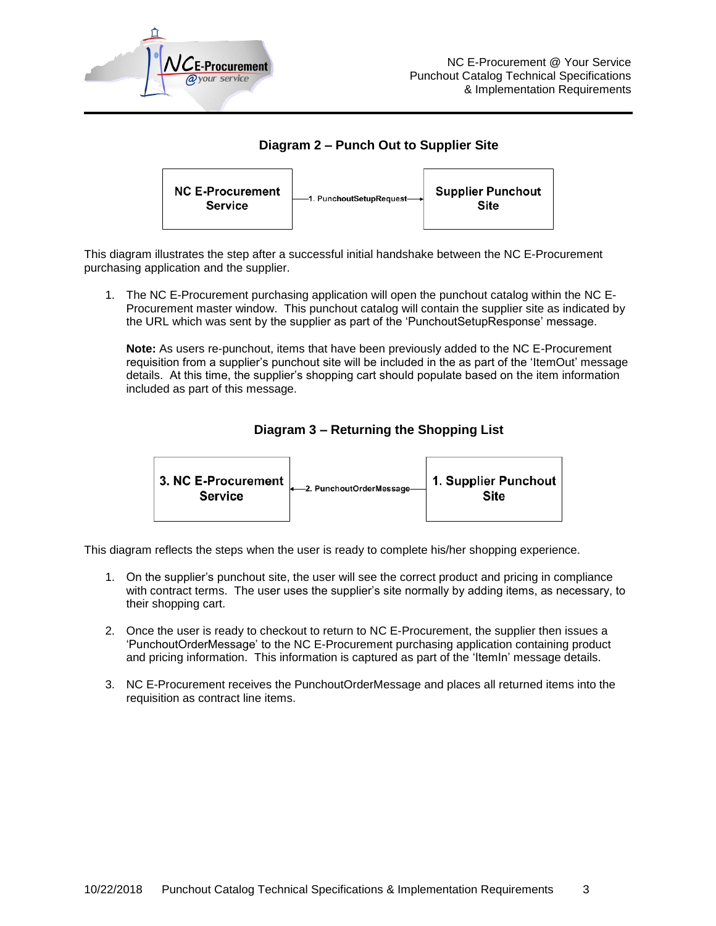

## **Diagram 2 – Punch Out to Supplier Site**



This diagram illustrates the step after a successful initial handshake between the NC E-Procurement purchasing application and the supplier.

1. The NC E-Procurement purchasing application will open the punchout catalog within the NC E-Procurement master window. This punchout catalog will contain the supplier site as indicated by the URL which was sent by the supplier as part of the 'PunchoutSetupResponse' message.

**Note:** As users re-punchout, items that have been previously added to the NC E-Procurement requisition from a supplier's punchout site will be included in the as part of the 'ItemOut' message details. At this time, the supplier's shopping cart should populate based on the item information included as part of this message.

### **Diagram 3 – Returning the Shopping List**



This diagram reflects the steps when the user is ready to complete his/her shopping experience.

- 1. On the supplier's punchout site, the user will see the correct product and pricing in compliance with contract terms. The user uses the supplier's site normally by adding items, as necessary, to their shopping cart.
- 2. Once the user is ready to checkout to return to NC E-Procurement, the supplier then issues a 'PunchoutOrderMessage' to the NC E-Procurement purchasing application containing product and pricing information. This information is captured as part of the 'ItemIn' message details.
- 3. NC E-Procurement receives the PunchoutOrderMessage and places all returned items into the requisition as contract line items.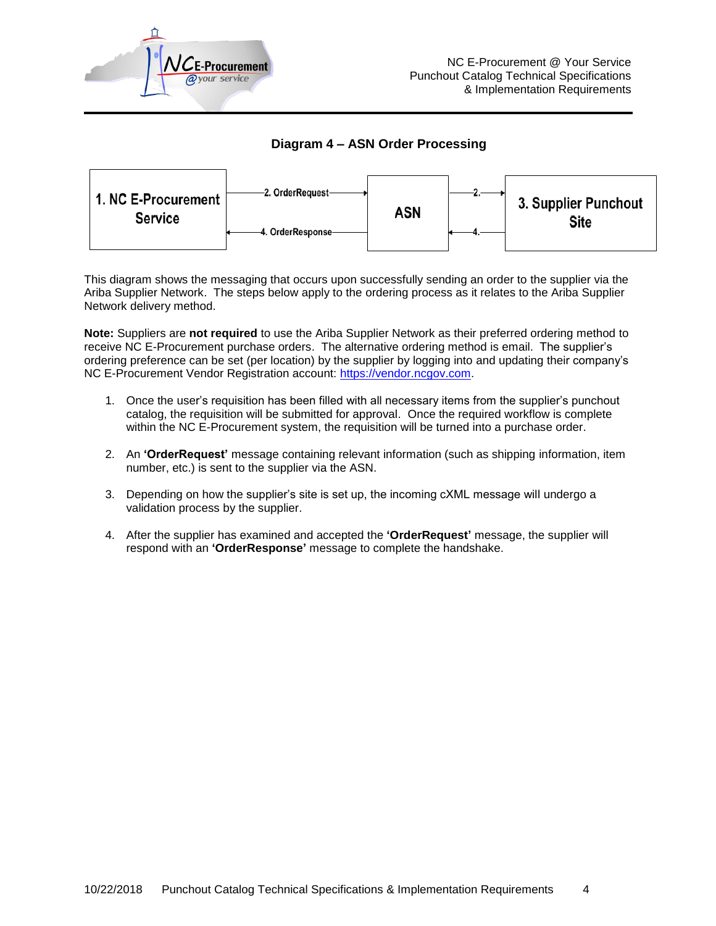

### **Diagram 4 – ASN Order Processing**



This diagram shows the messaging that occurs upon successfully sending an order to the supplier via the Ariba Supplier Network. The steps below apply to the ordering process as it relates to the Ariba Supplier Network delivery method.

**Note:** Suppliers are **not required** to use the Ariba Supplier Network as their preferred ordering method to receive NC E-Procurement purchase orders. The alternative ordering method is email. The supplier's ordering preference can be set (per location) by the supplier by logging into and updating their company's NC E-Procurement Vendor Registration account: [https://vendor.ncgov.com.](https://vendor.ncgov.com/)

- 1. Once the user's requisition has been filled with all necessary items from the supplier's punchout catalog, the requisition will be submitted for approval. Once the required workflow is complete within the NC E-Procurement system, the requisition will be turned into a purchase order.
- 2. An **'OrderRequest'** message containing relevant information (such as shipping information, item number, etc.) is sent to the supplier via the ASN.
- 3. Depending on how the supplier's site is set up, the incoming cXML message will undergo a validation process by the supplier.
- 4. After the supplier has examined and accepted the **'OrderRequest'** message, the supplier will respond with an **'OrderResponse'** message to complete the handshake.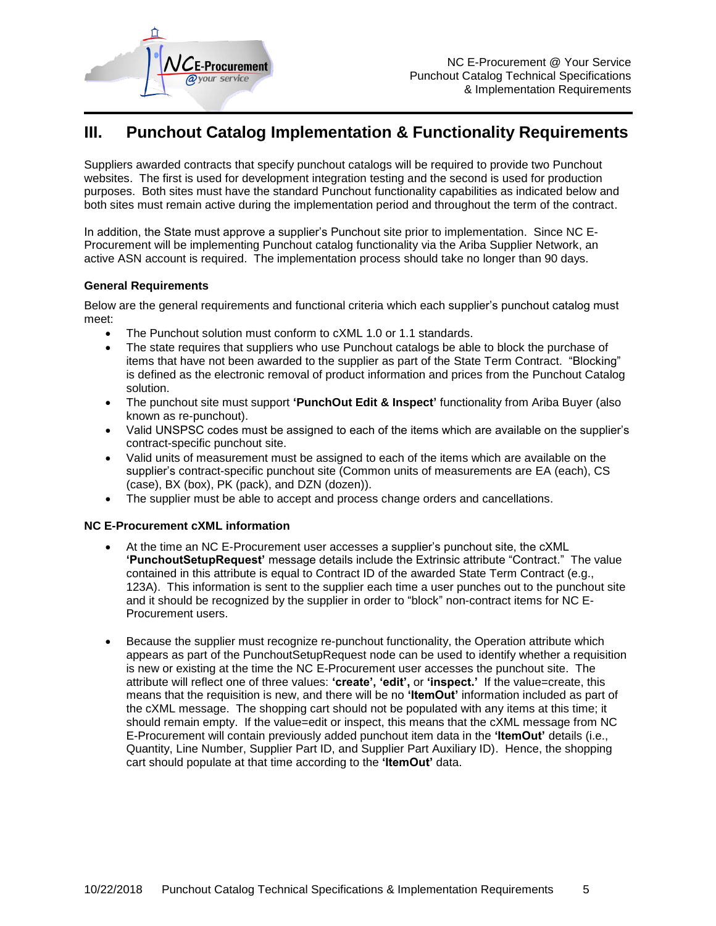

# **III. Punchout Catalog Implementation & Functionality Requirements**

Suppliers awarded contracts that specify punchout catalogs will be required to provide two Punchout websites. The first is used for development integration testing and the second is used for production purposes. Both sites must have the standard Punchout functionality capabilities as indicated below and both sites must remain active during the implementation period and throughout the term of the contract.

In addition, the State must approve a supplier's Punchout site prior to implementation. Since NC E-Procurement will be implementing Punchout catalog functionality via the Ariba Supplier Network, an active ASN account is required. The implementation process should take no longer than 90 days.

#### **General Requirements**

Below are the general requirements and functional criteria which each supplier's punchout catalog must meet:

- The Punchout solution must conform to cXML 1.0 or 1.1 standards.
- The state requires that suppliers who use Punchout catalogs be able to block the purchase of items that have not been awarded to the supplier as part of the State Term Contract. "Blocking" is defined as the electronic removal of product information and prices from the Punchout Catalog solution.
- The punchout site must support **'PunchOut Edit & Inspect'** functionality from Ariba Buyer (also known as re-punchout).
- Valid UNSPSC codes must be assigned to each of the items which are available on the supplier's contract-specific punchout site.
- Valid units of measurement must be assigned to each of the items which are available on the supplier's contract-specific punchout site (Common units of measurements are EA (each), CS (case), BX (box), PK (pack), and DZN (dozen)).
- The supplier must be able to accept and process change orders and cancellations.

#### **NC E-Procurement cXML information**

- At the time an NC E-Procurement user accesses a supplier's punchout site, the cXML **'PunchoutSetupRequest'** message details include the Extrinsic attribute "Contract." The value contained in this attribute is equal to Contract ID of the awarded State Term Contract (e.g., 123A). This information is sent to the supplier each time a user punches out to the punchout site and it should be recognized by the supplier in order to "block" non-contract items for NC E-Procurement users.
- Because the supplier must recognize re-punchout functionality, the Operation attribute which appears as part of the PunchoutSetupRequest node can be used to identify whether a requisition is new or existing at the time the NC E-Procurement user accesses the punchout site. The attribute will reflect one of three values: **'create', 'edit',** or **'inspect.'** If the value=create, this means that the requisition is new, and there will be no **'ItemOut'** information included as part of the cXML message. The shopping cart should not be populated with any items at this time; it should remain empty. If the value=edit or inspect, this means that the cXML message from NC E-Procurement will contain previously added punchout item data in the **'ItemOut'** details (i.e., Quantity, Line Number, Supplier Part ID, and Supplier Part Auxiliary ID). Hence, the shopping cart should populate at that time according to the **'ItemOut'** data.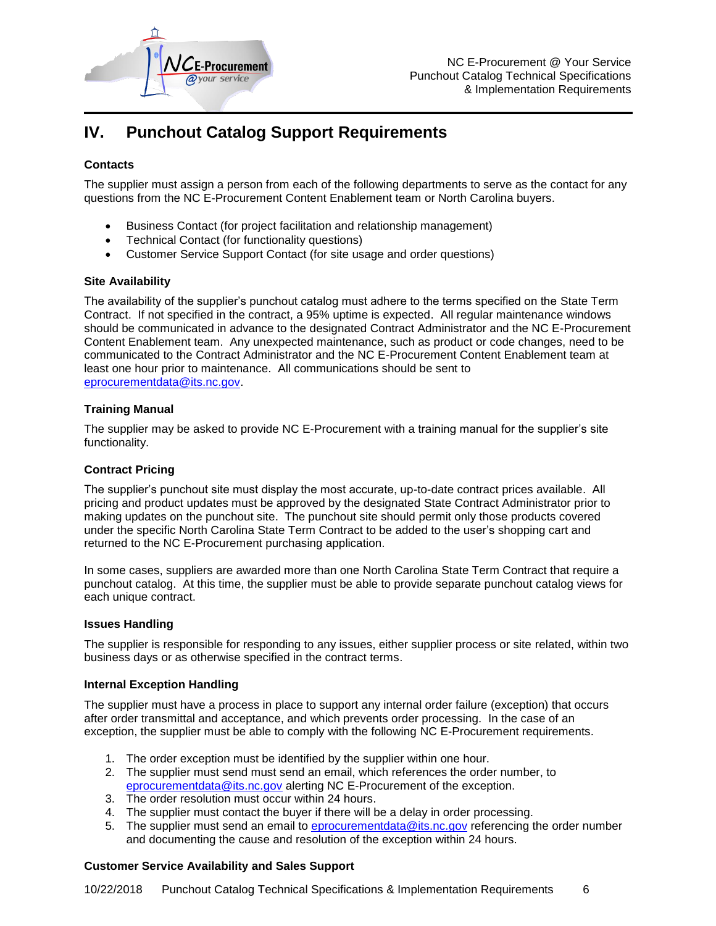

# **IV. Punchout Catalog Support Requirements**

#### **Contacts**

The supplier must assign a person from each of the following departments to serve as the contact for any questions from the NC E-Procurement Content Enablement team or North Carolina buyers.

- Business Contact (for project facilitation and relationship management)
- Technical Contact (for functionality questions)
- Customer Service Support Contact (for site usage and order questions)

#### **Site Availability**

The availability of the supplier's punchout catalog must adhere to the terms specified on the State Term Contract. If not specified in the contract, a 95% uptime is expected. All regular maintenance windows should be communicated in advance to the designated Contract Administrator and the NC E-Procurement Content Enablement team. Any unexpected maintenance, such as product or code changes, need to be communicated to the Contract Administrator and the NC E-Procurement Content Enablement team at least one hour prior to maintenance. All communications should be sent to [eprocurementdata@its.nc.gov.](mailto:eprocurementdata@its.nc.gov)

#### **Training Manual**

The supplier may be asked to provide NC E-Procurement with a training manual for the supplier's site functionality.

#### **Contract Pricing**

The supplier's punchout site must display the most accurate, up-to-date contract prices available. All pricing and product updates must be approved by the designated State Contract Administrator prior to making updates on the punchout site. The punchout site should permit only those products covered under the specific North Carolina State Term Contract to be added to the user's shopping cart and returned to the NC E-Procurement purchasing application.

In some cases, suppliers are awarded more than one North Carolina State Term Contract that require a punchout catalog. At this time, the supplier must be able to provide separate punchout catalog views for each unique contract.

#### **Issues Handling**

The supplier is responsible for responding to any issues, either supplier process or site related, within two business days or as otherwise specified in the contract terms.

#### **Internal Exception Handling**

The supplier must have a process in place to support any internal order failure (exception) that occurs after order transmittal and acceptance, and which prevents order processing. In the case of an exception, the supplier must be able to comply with the following NC E-Procurement requirements.

- 1. The order exception must be identified by the supplier within one hour.
- 2. The supplier must send must send an email, which references the order number, to [eprocurementdata@its.nc.gov](mailto:eprocurementdata@its.nc.gov) alerting NC E-Procurement of the exception.
- 3. The order resolution must occur within 24 hours.
- 4. The supplier must contact the buyer if there will be a delay in order processing.
- 5. The supplier must send an email to [eprocurementdata@its.nc.gov](mailto:eprocurementdata@its.nc.gov) referencing the order number and documenting the cause and resolution of the exception within 24 hours.

#### **Customer Service Availability and Sales Support**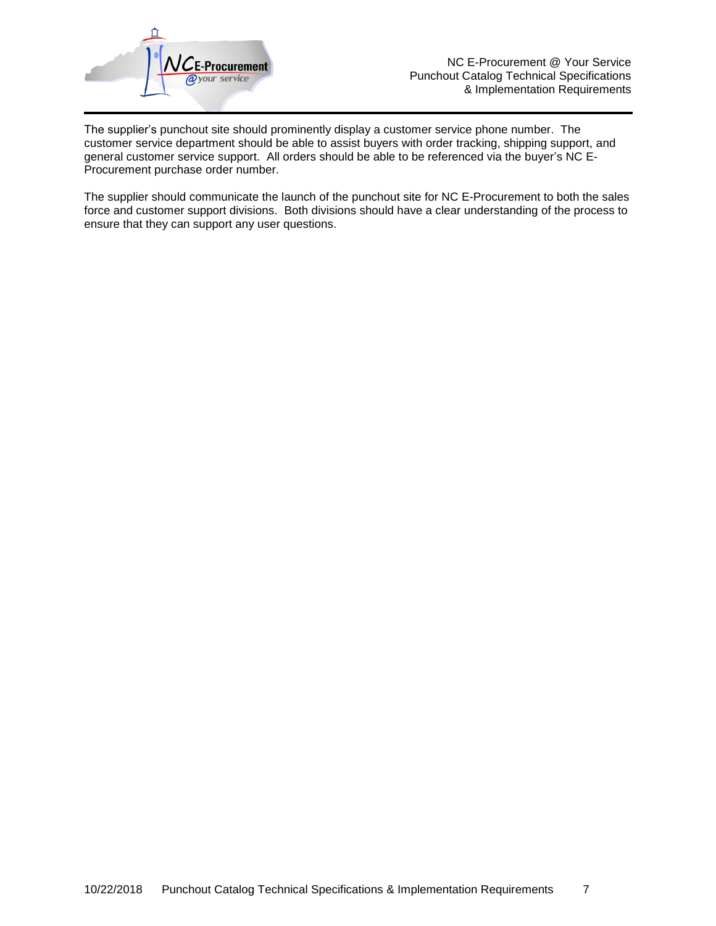

The supplier's punchout site should prominently display a customer service phone number. The customer service department should be able to assist buyers with order tracking, shipping support, and general customer service support. All orders should be able to be referenced via the buyer's NC E-Procurement purchase order number.

The supplier should communicate the launch of the punchout site for NC E-Procurement to both the sales force and customer support divisions. Both divisions should have a clear understanding of the process to ensure that they can support any user questions.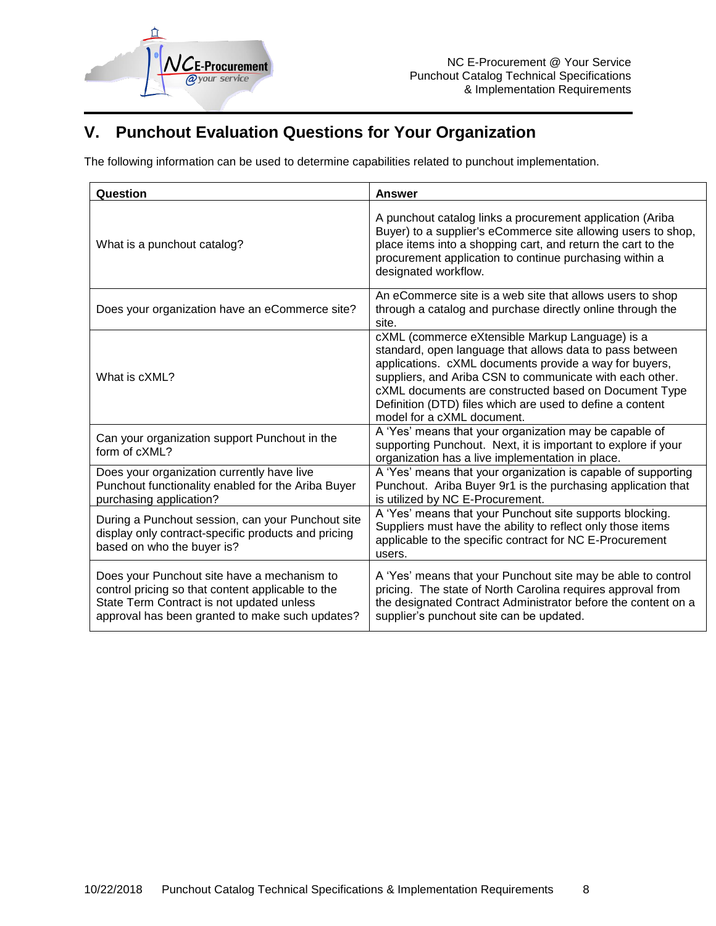

# **V. Punchout Evaluation Questions for Your Organization**

The following information can be used to determine capabilities related to punchout implementation.

| Question                                                                                                                                                                                         | <b>Answer</b>                                                                                                                                                                                                                                                                                                                                                                         |
|--------------------------------------------------------------------------------------------------------------------------------------------------------------------------------------------------|---------------------------------------------------------------------------------------------------------------------------------------------------------------------------------------------------------------------------------------------------------------------------------------------------------------------------------------------------------------------------------------|
| What is a punchout catalog?                                                                                                                                                                      | A punchout catalog links a procurement application (Ariba<br>Buyer) to a supplier's eCommerce site allowing users to shop,<br>place items into a shopping cart, and return the cart to the<br>procurement application to continue purchasing within a<br>designated workflow.                                                                                                         |
| Does your organization have an eCommerce site?                                                                                                                                                   | An eCommerce site is a web site that allows users to shop<br>through a catalog and purchase directly online through the<br>site.                                                                                                                                                                                                                                                      |
| What is cXML?                                                                                                                                                                                    | cXML (commerce eXtensible Markup Language) is a<br>standard, open language that allows data to pass between<br>applications. cXML documents provide a way for buyers,<br>suppliers, and Ariba CSN to communicate with each other.<br>cXML documents are constructed based on Document Type<br>Definition (DTD) files which are used to define a content<br>model for a cXML document. |
| Can your organization support Punchout in the<br>form of cXML?                                                                                                                                   | A 'Yes' means that your organization may be capable of<br>supporting Punchout. Next, it is important to explore if your<br>organization has a live implementation in place.                                                                                                                                                                                                           |
| Does your organization currently have live<br>Punchout functionality enabled for the Ariba Buyer<br>purchasing application?                                                                      | A 'Yes' means that your organization is capable of supporting<br>Punchout. Ariba Buyer 9r1 is the purchasing application that<br>is utilized by NC E-Procurement.                                                                                                                                                                                                                     |
| During a Punchout session, can your Punchout site<br>display only contract-specific products and pricing<br>based on who the buyer is?                                                           | A 'Yes' means that your Punchout site supports blocking.<br>Suppliers must have the ability to reflect only those items<br>applicable to the specific contract for NC E-Procurement<br>users.                                                                                                                                                                                         |
| Does your Punchout site have a mechanism to<br>control pricing so that content applicable to the<br>State Term Contract is not updated unless<br>approval has been granted to make such updates? | A 'Yes' means that your Punchout site may be able to control<br>pricing. The state of North Carolina requires approval from<br>the designated Contract Administrator before the content on a<br>supplier's punchout site can be updated.                                                                                                                                              |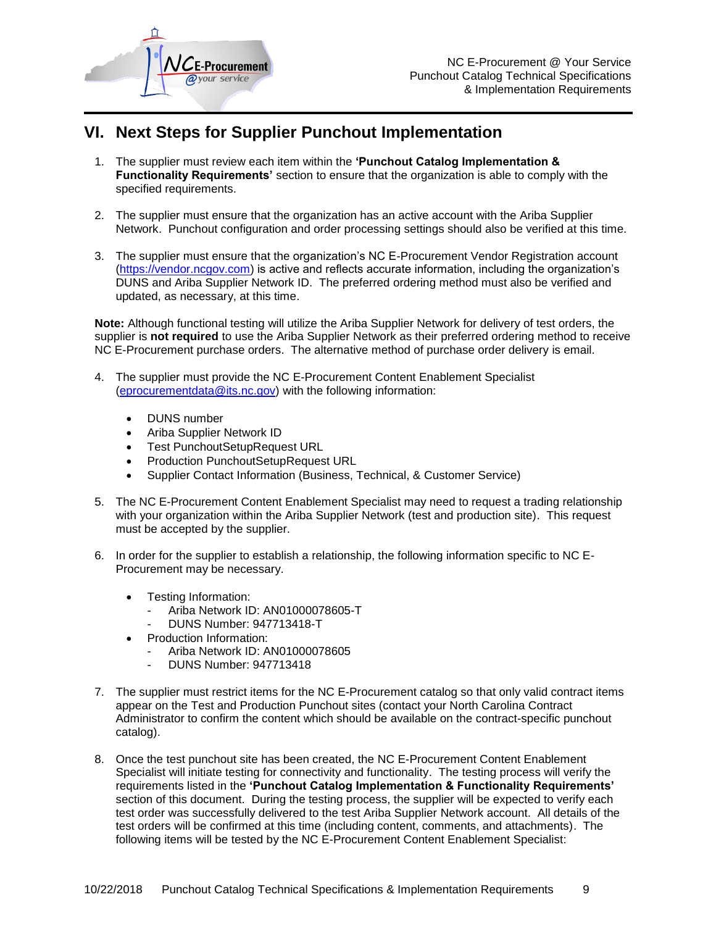

# **VI. Next Steps for Supplier Punchout Implementation**

- 1. The supplier must review each item within the **'Punchout Catalog Implementation & Functionality Requirements'** section to ensure that the organization is able to comply with the specified requirements.
- 2. The supplier must ensure that the organization has an active account with the Ariba Supplier Network. Punchout configuration and order processing settings should also be verified at this time.
- 3. The supplier must ensure that the organization's NC E-Procurement Vendor Registration account [\(https://vendor.ncgov.com\)](https://vendor.ncgov.com/) is active and reflects accurate information, including the organization's DUNS and Ariba Supplier Network ID. The preferred ordering method must also be verified and updated, as necessary, at this time.

**Note:** Although functional testing will utilize the Ariba Supplier Network for delivery of test orders, the supplier is **not required** to use the Ariba Supplier Network as their preferred ordering method to receive NC E-Procurement purchase orders. The alternative method of purchase order delivery is email.

- 4. The supplier must provide the NC E-Procurement Content Enablement Specialist [\(eprocurementdata@its.nc.gov\)](mailto:eprocurementdata@its.nc.gov) with the following information:
	- DUNS number
	- Ariba Supplier Network ID
	- Test PunchoutSetupRequest URL
	- Production PunchoutSetupRequest URL
	- Supplier Contact Information (Business, Technical, & Customer Service)
- 5. The NC E-Procurement Content Enablement Specialist may need to request a trading relationship with your organization within the Ariba Supplier Network (test and production site). This request must be accepted by the supplier.
- 6. In order for the supplier to establish a relationship, the following information specific to NC E-Procurement may be necessary.
	- Testing Information:
		- Ariba Network ID: AN01000078605-T
		- DUNS Number: 947713418-T
	- Production Information:
		- Ariba Network ID: AN01000078605
		- DUNS Number: 947713418
- 7. The supplier must restrict items for the NC E-Procurement catalog so that only valid contract items appear on the Test and Production Punchout sites (contact your North Carolina Contract Administrator to confirm the content which should be available on the contract-specific punchout catalog).
- 8. Once the test punchout site has been created, the NC E-Procurement Content Enablement Specialist will initiate testing for connectivity and functionality. The testing process will verify the requirements listed in the **'Punchout Catalog Implementation & Functionality Requirements'** section of this document. During the testing process, the supplier will be expected to verify each test order was successfully delivered to the test Ariba Supplier Network account. All details of the test orders will be confirmed at this time (including content, comments, and attachments). The following items will be tested by the NC E-Procurement Content Enablement Specialist: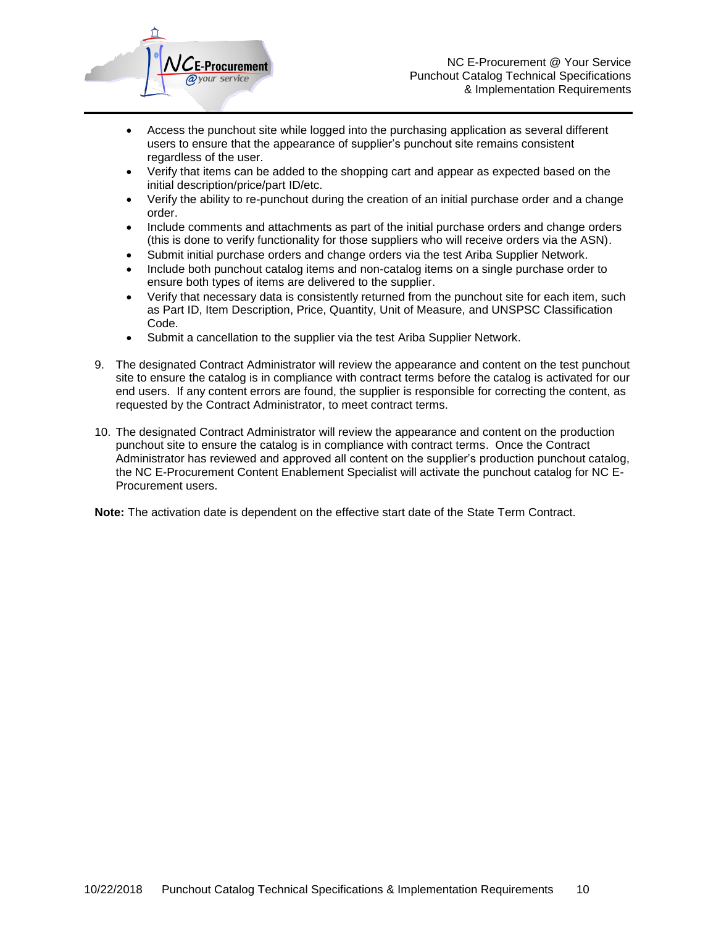

- Access the punchout site while logged into the purchasing application as several different users to ensure that the appearance of supplier's punchout site remains consistent regardless of the user.
- Verify that items can be added to the shopping cart and appear as expected based on the initial description/price/part ID/etc.
- Verify the ability to re-punchout during the creation of an initial purchase order and a change order.
- Include comments and attachments as part of the initial purchase orders and change orders (this is done to verify functionality for those suppliers who will receive orders via the ASN).
- Submit initial purchase orders and change orders via the test Ariba Supplier Network.
- Include both punchout catalog items and non-catalog items on a single purchase order to ensure both types of items are delivered to the supplier.
- Verify that necessary data is consistently returned from the punchout site for each item, such as Part ID, Item Description, Price, Quantity, Unit of Measure, and UNSPSC Classification Code.
- Submit a cancellation to the supplier via the test Ariba Supplier Network.
- 9. The designated Contract Administrator will review the appearance and content on the test punchout site to ensure the catalog is in compliance with contract terms before the catalog is activated for our end users. If any content errors are found, the supplier is responsible for correcting the content, as requested by the Contract Administrator, to meet contract terms.
- 10. The designated Contract Administrator will review the appearance and content on the production punchout site to ensure the catalog is in compliance with contract terms. Once the Contract Administrator has reviewed and approved all content on the supplier's production punchout catalog, the NC E-Procurement Content Enablement Specialist will activate the punchout catalog for NC E-Procurement users.

**Note:** The activation date is dependent on the effective start date of the State Term Contract.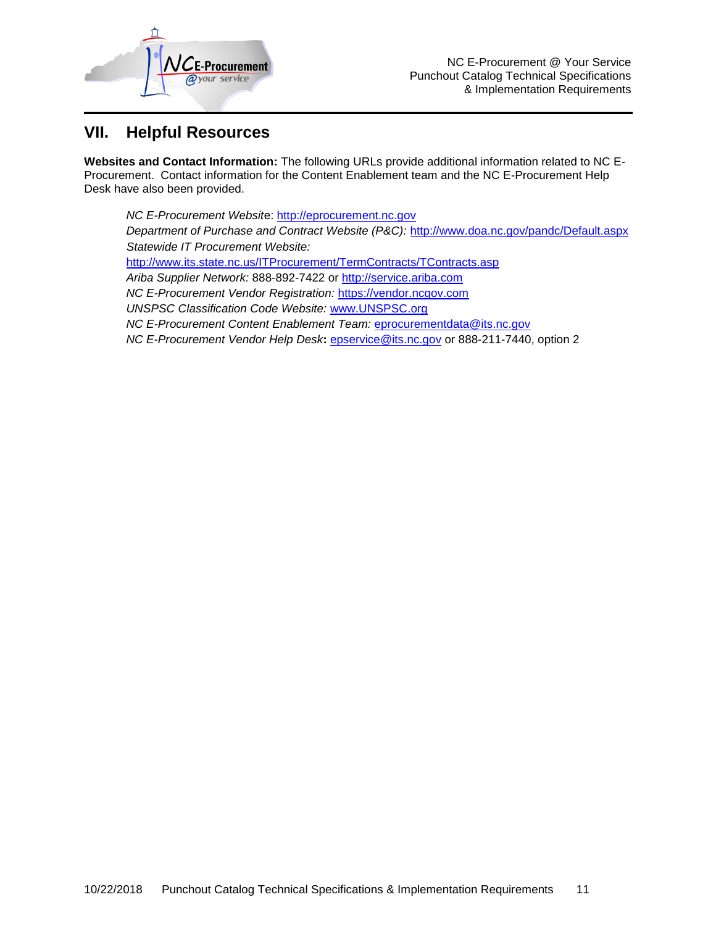

NC E-Procurement @ Your Service Punchout Catalog Technical Specifications & Implementation Requirements

## **VII. Helpful Resources**

**Websites and Contact Information:** The following URLs provide additional information related to NC E-Procurement. Contact information for the Content Enablement team and the NC E-Procurement Help Desk have also been provided.

*NC E-Procurement Websit*e: [http://eprocurement.nc.gov](http://eprocurement.nc.gov/) *Department of Purchase and Contract Website (P&C):* <http://www.doa.nc.gov/pandc/Default.aspx>  *Statewide IT Procurement Website:* <http://www.its.state.nc.us/ITProcurement/TermContracts/TContracts.asp> *Ariba Supplier Network:* 888-892-7422 or [http://service.ariba.com](http://service.ariba.com/) *NC E-Procurement Vendor Registration:* [https://vendor.ncgov.com](https://vendor.ncgov.com/) *UNSPSC Classification Code Website:* [www.UNSPSC.org](http://www.unspsc.org/) *NC E-Procurement Content Enablement Team:* [eprocurementdata@its.nc.gov](mailto:eprocurementdata@its.nc.gov) *NC E-Procurement Vendor Help Desk***:** [epservice@its.nc.gov](mailto:epservice@its.nc.gov) or 888-211-7440, option 2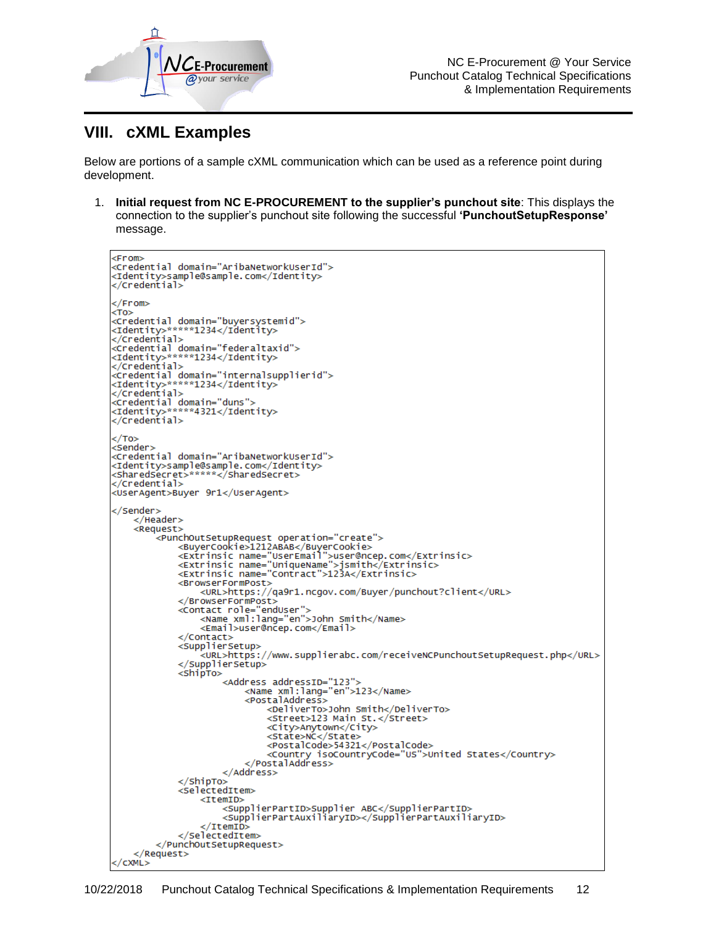

NC E-Procurement @ Your Service Punchout Catalog Technical Specifications & Implementation Requirements

## **VIII. cXML Examples**

Below are portions of a sample cXML communication which can be used as a reference point during development.

1. **Initial request from NC E-PROCUREMENT to the supplier's punchout site**: This displays the connection to the supplier's punchout site following the successful **'PunchoutSetupResponse'** message.

```
<From>
<Credential domain="AribaNetworkUserId">
<Identity>sample@sample.com</Identity>
</Credential>
</From>
<TO>
<Credential domain="buyersystemid">
<Identity>*****1234</Identity>
</Credential>
</redential_domain="federaltaxid"><br><rdentity>*****1234</Identity>
</Credential>
</redential domain="internalsupplierid"><br><Credential domain="internalsupplierid">
</Credential>
<Credential domain="duns"><br><Identity>******4321</Identity>
</Credential>
≺/To>
<sender>
<Credential domain="AribaNetworkUserId">
<Identity>sample@sample.com</Identity>
<SharedSecret>*****</SharedSecret>
</Credential>
<UserAgent>Buyer 9r1</UserAgent>
</sender>
     \frac{1}{2}Header>
     <Request>
          <PunchOutSetupRequest operation="create">
               CONSEQUEST UPE ATTURE<br>
<BBYPCOOKIe>1212ABAB</BBYPCOOKIe><br>
<br/>Extrinsic name="UserEmail">user@ncep.com</Extrinsic><br>
<Extrinsic name="UniqueName">jsmith</Extrinsic><br>
<Extrinsic name="Contract">123A</Extrinsic>
               <BrowserFormPost>
                    <URL>https://qa9r1.ncgov.com/Buyer/punchout?client</URL>
               </BrowserFormPost>
               </browserFormFox<br>
<<br/>contact role="endUser"><br>
</browserFormFox">Dohn Smith</Name>
                    <Email>user@ncep.com</Email>
               \langle Contact>
               <SupplierSetup>
                    <URL>https://www.supplierabc.com/receiveNCPunchoutSetupRequest.php</URL>
               </SupplierSetup>
               <shipTo>
                         <Address addressID="123"><br><Name xml:lang="en">123</Name>
                               <PostalAddress>
                                    <DeliverTo>John Smith</DeliverTo>
                                    <Street>123 Main St.</Street>
                                    <City>Anytown</City>
                                    <State>NC</State>
                                    <PostalCode>54321</PostalCode>
                                    <Country isoCountryCode="US">United States</Country>
                               </PostalAddress>
                         </Address>
               </shipTo>
               <SelectedItem>
                    <ItemID><SupplierPartID>Supplier ABC</SupplierPartID>
                          <SupplierPartAuxiliaryID></SupplierPartAuxiliaryID>
                     </ItemID>
               </selectedItem>
          </PunchOutSetupRequest>
     </Request>
</cxmL>
```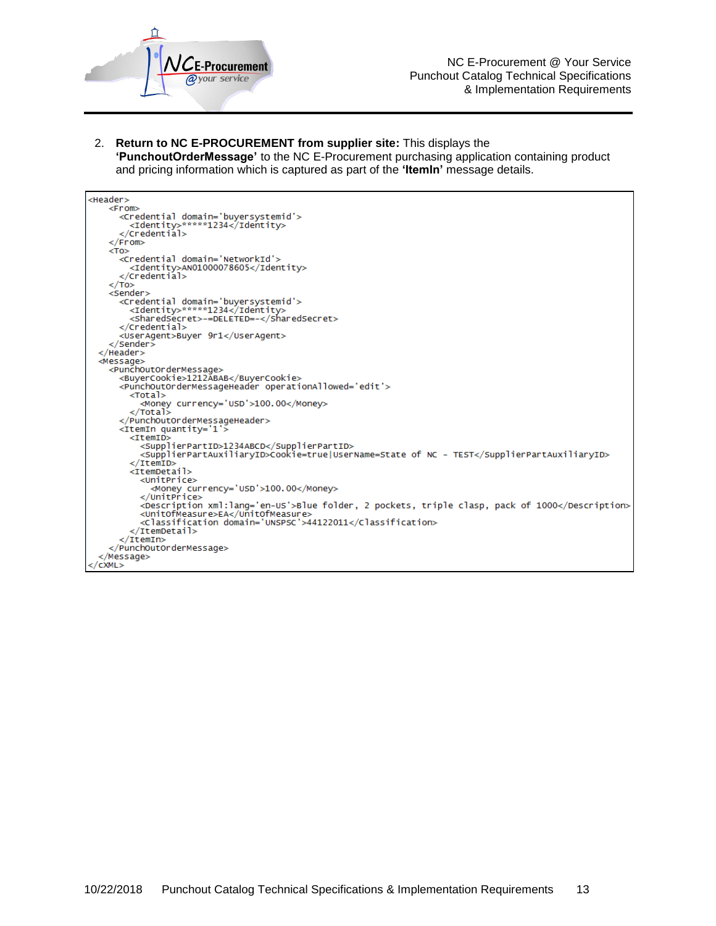

2. **Return to NC E-PROCUREMENT from supplier site:** This displays the **'PunchoutOrderMessage'** to the NC E-Procurement purchasing application containing product and pricing information which is captured as part of the **'ItemIn'** message details.

```
<Header>
    <From>
      <Credential domain='buyersystemid'>
         <Identity>*****1234</Identity>
      </Credential>
    \epsilon/From>
    <To>
      \lt/T0>
    <sender>enuer/<br><Credential domain='buyersystemid'><br><Credentity>******1234</Identity><br><SharedSecret>-=DELETED=-</SharedSecret>
      </Credential>
      <UserAgent>Buyer 9r1</UserAgent>
    \langle/Sender>
 \langle/Header>
  <Message>
    <PunchoutorderMessage>
      <Total>
           <Money currency='USD'>100.00</Money>
         </Total>
      </Punch0ut0rderMessageHeader>
      <ItemIn quantity='1'>
         <ItemID>
           :Lemiu><br><SupplierPartID>1234ABCD</SupplierPartID><br><SupplierPartAuxiliaryID>Cookie=true|UserName=State of NC - TEST</SupplierPartAuxiliaryID>
         </ItemID>
         <ItemDetail>
           <UnitPrice>
           </unitPrice><br></unitPrice>
           </br>>
</br>>
</br>>
concription xml:lang='en-US'>Blue folder, 2 pockets, triple clasp, pack of 1000</Description><br>
</br></br>>
</br>>
</br>>
</br>>
</br>>
</br>>
</br>>
</br>
classification domain='UNSPSC'>44122011</class
         </ItemDetail>
       </ItemIn>
    </PunchoutorderMessage>
  //Message>
</cxml>
```